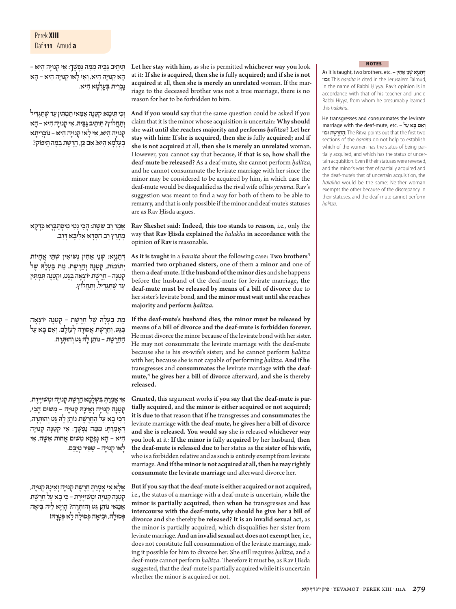| Perek XIII     |  |
|----------------|--|
| Daf 111 Amud a |  |

**ֵּת ֵיתיב ַּגֵּב ּיה ִמ ַּמה ַּנְפָׁש ְך: ִאי ְק ּנוָיה ִהיא – ָהא ְק ּנוָיה ִהיא, ְו ִאי ָלאו ְק ּנוָיה ִהיא – ָהא ָנְכִרית ְּבָעְלָמא ִהיא.** 

**ְו ִכי ֵּת ָימא: ְקַטָּנה ַא ַּמאי ַּת ְמ ִּתין ַעד ֶׁשַּתְגִ ּדיל ְוַתֲחלוֹץ? ֵּת ֵיתיבַּגֵּב ּיה, ִאי ְק ּנוָיה ִהיא – ָהא ְק ּנוָיה ִהיא, ִאי ָלאו ְק ּנוָיה ִהיא – ְ נוֹכִר ָיתא ּכן, ֵחֶרֶׁשת ַּב ֶּמה ֵּת ּיפוֹק? ְּבָעְלָמא ִהיא! ִאם ֵ**

**ּכְדָקא ֲאַמרַרב ֵׁשֶׁשת: ָה ִכי ַנִמי ִמ ְיס ַּת ְּבָרא ִ ּל ָּיבא ְ ּדַרב. ְמָתֵרץַרב ִח ְסָּדא ַאִ**

**ְ ּדַתְנָיא: ׁ ְשֵני ַא ִחין ְנ ׂשּו ִאין ׁ ְש ֵּתי ֲאָחיוֹת ְיתוֹמוֹת, ְקַטָּנה ְוֵחֶרֶׁשת. ֵמת ַּב ְעָל ּה ֶׁשל ְקַטָּנה – ֵחֶרֶׁשת ְ יוֹצָאה ְּבֵגט, ּו ְקַטָּנה ַּת ְמ ִּתין ַעד ֶׁשַּתְגִ ּדיל, ְוַתֲחלוֹץ.** 

**ֵמת ַּב ְעָל ּה ֶׁשל ֵחֶרֶׁשת – ְקַטָּנה ְ יוֹצָאה ְּבֵגט, ְוֵחֶרֶׁשת ֲא ּסוָרה ְל ָעוֹלם. ְו ִאם ָּבא ַעל ַהֵחֶרֶׁשת – ֵ נוֹתן ָל ּהֵּגט ְו ּהו ְּתָרה.**

**ִאי ָא ְמַרְּת ִּבׁ ְשָלָמא ֵחֶרֶׁשת ְק ּנוָיה ּו ְמׁשּוֶיֶּירת, ְקַטָּנה ְק ּנוָיה ְוֵא ָינ ּה ְק ּנוָיה – ִמּׁשּום ָה ִכי, ְ ּד ִכי ָּבא ַעל ַהֵחֶרֶׁשת ֵ נוֹתן ָל ּה ֵּגט ְו ּהו ְּתָרה, ְ ּדָא ְמַרְּת: ִמ ַּמה ַּנְפָׁש ְך: ִאי ְקַטָּנה ְק ּנוָיה ִהיא – ָהא ָנְפָקא ִמּׁשּום ֲאחוֹת ִאָּׁשה, ִאי ָלאו ְק ּנוָיה – ַׁשִּפיר ְמַיֵּבם.**

**ֶאָּלא ִאי ָא ְמַרְּת ֵחֶרֶׁשת ְק ּנוָיה ְוֵא ָינ ּה ְק ּנוָיה, ּכי ָּבא ַעל ֵחֶרֶׁשת ְקַטָּנה ְק ּנוָיה ּו ְמׁשּוֶיֶּירת – ִ ַא ַּמאי ֵ נוֹתן ֵּגט ְו ּהו ְּתָרה? ָהְוָיא ֵל ּיה ִּב ָיאה ְּפ ּסוָלה, ּוִב ָיאה ְּפ ּסוָלה ָלא ְּפָטָרּה!** 

Let her stay with him, as she is permitted whichever way you look at it: **If she is acquired, then she is** fully **acquired; and if she is not acquired** at all, **then she is merely an unrelated** woman. If the marriage to the deceased brother was not a true marriage, there is no reason for her to be forbidden to him.

**And if you would say** that the same question could be asked if you claim that it is the minor whose acquisition is uncertain: **Why should**  she **wait until she reaches majority and performs** *ĥalitza***? Let her stay with him: If she is acquired, then she is** fully **acquired;** and **if she is not acquired** at all, **then she is merely an unrelated** woman. However, you cannot say that because, **if that is so, how shall the deaf-mute be released?** As a deaf-mute, she cannot perform *ĥalitza*, and he cannot consummate the levirate marriage with her since the minor may be considered to be acquired by him, in which case the deaf-mute would be disqualified as the rival wife of his *yevama*. Rav's suggestion was meant to find a way for both of them to be able to remarry, and that is only possible if the minor and deaf-mute's statuses are as Rav Hisda argues.

**Rav Sheshet said: Indeed, this too stands to reason,** i.e., only the way **that Rav Ĥisda explained** the *halakha* **in accordance with** the opinion **of Rav** is reasonable.

As it is taught in a *baraita* about the following case: Two brothers<sup>N</sup> **married two orphaned sisters,** one of them **a minor and** one of them **a deaf-mute.** If**the husband of the minor dies** and she happens before the husband of the deaf-mute for levirate marriage, **the deaf-mute must be released by means of a bill of divorce** due to her sister's levirate bond, **and the minor must wait until she reaches majority and perform** *ĥalitza***.** 

**If the deaf-mute's husband dies, the minor must be released by means of a bill of divorce and the deaf-mute is forbidden forever.**  He must divorce the minor because of the levirate bond with her sister. He may not consummate the levirate marriage with the deaf-mute because she is his ex-wife's sister; and he cannot perform *ĥalitza* with her, because she is not capable of performing *ĥalitza*. **And if he**  transgresses and **consummates** the levirate marriage **with the deaf**mute,<sup>N</sup> he gives her a bill of divorce afterward, and she is thereby **released.** 

**Granted,** this argument works **if you say that the deaf-mute is partially acquired,** and **the minor is either acquired or not acquired; it is due to that** reason **that if he** transgresses and **consummates** the levirate marriage **with the deaf-mute, he gives her a bill of divorce and she is released. You would say** she is released **whichever way you** look at it: **If the minor is** fully **acquired** by her husband, **then the deaf-mute is released due to** her status as **the sister of his wife,**  who is a forbidden relative and as such is entirely exempt from levirate marriage. **And if the minor is not acquired at all, then he may rightly**  consummate the levirate marriage and afterward divorce her.

**But if you say that the deaf-mute is either acquired or not acquired,**  i.e., the status of a marriage with a deaf-mute is uncertain, **while the minor is partially acquired,** then **when he** transgresses and **has intercourse with the deaf-mute, why should he give her a bill of divorce and** she thereby **be released? It is an invalid sexual act,** as the minor is partially acquired, which disqualifies her sister from levirate marriage. **And an invalid sexual act does not exempt her,** i.e., does not constitute full consummation of the levirate marriage, making it possible for him to divorce her. She still requires *ĥalitza*, and a deaf-mute cannot perform *halitza*. Therefore it must be, as Rav Hisda suggested, that the deaf-mute is partially acquired while it is uncertain whether the minor is acquired or not.



**As it is taught, two brothers, etc. – <b>ִדְּתַנְיָא** שְׁנֵי **ּאֲחִין וכו׳**: This *baraita* is cited in the Jerusalem Talmud, in the name of Rabbi Ḥiyya. Rav's opinion is in accordance with that of his teacher and uncle Rabbi Ḥiyya, from whom he presumably learned this *halakha*.

 He transgresses and consummates the levirate marriage with the deaf-mute, etc. – **עלַ באָּ אםִ וְ וכו׳ שתֶׁרֶחֵהַ**: The Ritva points out that the first two sections of the *baraita* do not help to establish which of the women has the status of being partially acquired, and which has the status of uncertain acquisition. Even if their statuses were reversed, and the minor's was that of partially acquired and the deaf-mute's that of uncertain acquisition, the *halakha* would be the same: Neither woman exempts the other because of the discrepancy in their statuses, and the deaf-mute cannot perform *ĥalitza*.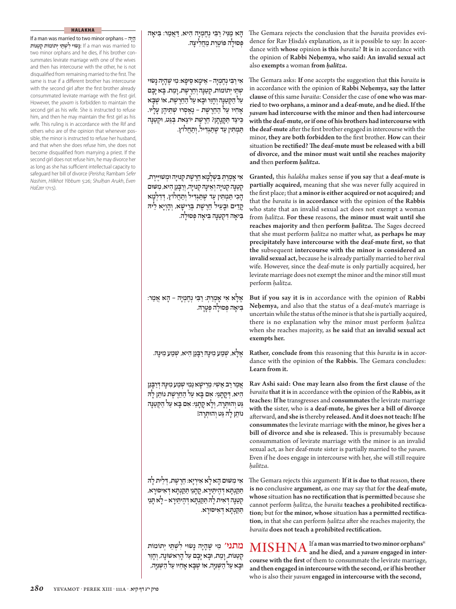| <b>HALAKHA</b>                                                                                                                                                                                                                                                                                                                                                                                                                                                                                                                                                                                                                                                                                                                                                                                                                                                                                                                                                                                                                                                                 |                                                                                                                                                                                                                                                                                                                                                    |                                                                                                                                                                                                                                                                                                                                                                                                                                                                                                                                                                                                                                                                                                                                                                                                                                                                           |
|--------------------------------------------------------------------------------------------------------------------------------------------------------------------------------------------------------------------------------------------------------------------------------------------------------------------------------------------------------------------------------------------------------------------------------------------------------------------------------------------------------------------------------------------------------------------------------------------------------------------------------------------------------------------------------------------------------------------------------------------------------------------------------------------------------------------------------------------------------------------------------------------------------------------------------------------------------------------------------------------------------------------------------------------------------------------------------|----------------------------------------------------------------------------------------------------------------------------------------------------------------------------------------------------------------------------------------------------------------------------------------------------------------------------------------------------|---------------------------------------------------------------------------------------------------------------------------------------------------------------------------------------------------------------------------------------------------------------------------------------------------------------------------------------------------------------------------------------------------------------------------------------------------------------------------------------------------------------------------------------------------------------------------------------------------------------------------------------------------------------------------------------------------------------------------------------------------------------------------------------------------------------------------------------------------------------------------|
| If a man was married to two minor orphans – הַיָּה<br>ובשוי לְשְתֵּי יְתוֹמוֹת קַטֲנוֹת: If a man was married to<br>two minor orphans and he dies, if his brother con-<br>summates levirate marriage with one of the wives<br>and then has intercourse with the other, he is not<br>disqualified from remaining married to the first. The<br>same is true if a different brother has intercourse<br>with the second girl after the first brother already<br>consummated levirate marriage with the first girl.<br>However, the yavam is forbidden to maintain the<br>second girl as his wife. She is instructed to refuse<br>him, and then he may maintain the first girl as his<br>wife. This ruling is in accordance with the Rif and<br>others who are of the opinion that whenever pos-<br>sible, the minor is instructed to refuse her husband,<br>and that when she does refuse him, she does not<br>become disqualified from marrying a priest. If the<br>second girl does not refuse him, he may divorce her<br>as long as she has sufficient intellectual capacity to | הַא מַנִּי? רַבִּי נִחֲמִיָּה הִיא, דַּאֲמַר: בִּיְאַה<br>פִּסוּלַה פּוֹטֱרֵת מֱחֲלִיצֵה.                                                                                                                                                                                                                                                          | The Gemara rejects the conclusion that the baraita provides evi-<br>dence for Rav Hisda's explanation, as it is possible to say: In accor-<br>dance with whose opinion is this baraita? It is in accordance with<br>the opinion of Rabbi Nehemya, who said: An invalid sexual act<br>also exempts a woman from halitza.                                                                                                                                                                                                                                                                                                                                                                                                                                                                                                                                                   |
|                                                                                                                                                                                                                                                                                                                                                                                                                                                                                                                                                                                                                                                                                                                                                                                                                                                                                                                                                                                                                                                                                | אִי רַבִּי נְחֶמְיָה – אֵימָא סֵיפָא: מִי שֶׁהָיָה נָשׁוּי<br>שְׁתֵּי יְתוֹמוֹת, קִטַנָּה וְחֵרֶשֶׁת, וָמֵת. בָּא יָבָם<br>עַל הַקְטַנָּה וְחָזֵר וּבָא עַל הַחֵרֶשֶת, אוֹ שֵׁבָּא<br>אָחִיו עַל הַחֵרֶשֶׁת – נֶאֶסְרוּ שְׁתֵּיהֶן עָלַיו.<br>כֵּיצַד תַּקֲנָתָן? חֵרֵשֶׁת יוֹצֵאת בִּגֵט, וּקְטַנָּה<br>תַּמְתִּין עַד שֵׁתַּגְדִּיל, וְתַחֲלוֹץ. | The Gemara asks: If one accepts the suggestion that this baraita is<br>in accordance with the opinion of Rabbi Nehemya, say the latter<br>clause of this same baraita: Consider the case of one who was mar-<br>ried to two orphans, a minor and a deaf-mute, and he died. If the<br>yavam had intercourse with the minor and then had intercourse<br>with the deaf-mute, or if one of his brothers had intercourse with<br>the deaf-mute after the first brother engaged in intercourse with the<br>minor, they are both forbidden to the first brother. How can their<br>situation be rectified? The deaf-mute must be released with a bill<br>of divorce, and the minor must wait until she reaches majority<br>and then perform halitza.                                                                                                                              |
| safeguard her bill of divorce (Perisha; Rambam Sefer                                                                                                                                                                                                                                                                                                                                                                                                                                                                                                                                                                                                                                                                                                                                                                                                                                                                                                                                                                                                                           | אִי אַמְרַתְּ בִּשְׁלֵמָא חֶרֶשֶת קְנוּיַה וּמְשׁוּיֵירֵת,                                                                                                                                                                                                                                                                                         | Granted, this halakha makes sense if you say that a deaf-mute is                                                                                                                                                                                                                                                                                                                                                                                                                                                                                                                                                                                                                                                                                                                                                                                                          |
| Nashim, Hilkhot Yibbum 5:26; Shulḥan Arukh, Even<br>HaEzer 171:5).                                                                                                                                                                                                                                                                                                                                                                                                                                                                                                                                                                                                                                                                                                                                                                                                                                                                                                                                                                                                             | קְטַנָּה קְנוּיָה וְאֵינָהּ קְנוּיָה, וְרַבָּנַן הִיא, מִשׁוּם<br>הָכִי תַּמְתִּין עַד שֶׁתַּגְדִּיל וְתַחֲלוֹץ, דְדִלְמָא<br>קְדֵים וּבָעֵיל חֵרֶשֶׁת בְּרֵישָׁא, וְהָוְיָא לֵיהּ<br>בִּיאָה דִּקְטַנָּה בִּיאָה פִּסוּלַה.                                                                                                                       | partially acquired, meaning that she was never fully acquired in<br>the first place; that a minor is either acquired or not acquired; and<br>that the baraita is in accordance with the opinion of the Rabbis<br>who state that an invalid sexual act does not exempt a woman<br>from halitza. For these reasons, the minor must wait until she<br>reaches majority and then perform halitza. The Sages decreed<br>that she must perform <i>halitza</i> no matter what, as perhaps he may<br>precipitately have intercourse with the deaf-mute first, so that<br>the subsequent intercourse with the minor is considered an<br>invalid sexual act, because he is already partially married to her rival<br>wife. However, since the deaf-mute is only partially acquired, her<br>levirate marriage does not exempt the minor and the minor still must<br>perform halitza. |
|                                                                                                                                                                                                                                                                                                                                                                                                                                                                                                                                                                                                                                                                                                                                                                                                                                                                                                                                                                                                                                                                                | אָמְרַתְּ: רַבִּי נְחֶמְיָה – הָא אֲמַר:<br>בִּיאָה פִּסוּלַה פְּטַרַהּ.                                                                                                                                                                                                                                                                           | But if you say it is in accordance with the opinion of Rabbi<br>Nehemya, and also that the status of a deaf-mute's marriage is<br>uncertain while the status of the minor is that she is partially acquired,<br>there is no explanation why the minor must perform halitza<br>when she reaches majority, as he said that an invalid sexual act<br>exempts her.                                                                                                                                                                                                                                                                                                                                                                                                                                                                                                            |
|                                                                                                                                                                                                                                                                                                                                                                                                                                                                                                                                                                                                                                                                                                                                                                                                                                                                                                                                                                                                                                                                                | אֶלֶא, שְׁמַע מִינָּה רַבְּנַן הִיא, שְׁמַע מִינָּה.                                                                                                                                                                                                                                                                                               | Rather, conclude from this reasoning that this baraita is in accor-<br>dance with the opinion of the Rabbis. The Gemara concludes:<br>Learn from it.                                                                                                                                                                                                                                                                                                                                                                                                                                                                                                                                                                                                                                                                                                                      |
|                                                                                                                                                                                                                                                                                                                                                                                                                                                                                                                                                                                                                                                                                                                                                                                                                                                                                                                                                                                                                                                                                | אֲמַר רַב אֲשִׂי: מֱרִישָׁא נַמִי שְׁמַע מִינָּהּ דְּרַבְּנַן<br>היא, דְקָתְנֵי: אִם בָּא עַל הַחֵרֶשֶת נוֹתֵן לָה<br>גֵּט וְהוּתְרָה, וְלָא קָתָנֵי: אִם בָּא עַל הַקְטַנָּה<br>נותן לה גֵּט וְהוּתְרַה!                                                                                                                                          | Rav Ashi said: One may learn also from the first clause of the<br>baraita that it is in accordance with the opinion of the Rabbis, as it<br>teaches: If he transgresses and consummates the levirate marriage<br>with the sister, who is a deaf-mute, he gives her a bill of divorce<br>afterward, and she is thereby released. And it does not teach: If he<br>consummates the levirate marriage with the minor, he gives her a<br>bill of divorce and she is released. This is presumably because<br>consummation of levirate marriage with the minor is an invalid<br>sexual act, as her deaf-mute sister is partially married to the yavam.<br>Even if he does engage in intercourse with her, she will still require<br>halitza.                                                                                                                                     |
|                                                                                                                                                                                                                                                                                                                                                                                                                                                                                                                                                                                                                                                                                                                                                                                                                                                                                                                                                                                                                                                                                | אִי מִשּׁוּם הָא לָא אִירְיָא: חֵרֶשֶת, דְּלֵית לָה<br>תַּקַנְתָּא דְהֶיתֵּירָא, קָתָנֵי תַּקַנְתָּא דְּאִיסּוּרָא,<br>קְטַנָּה דְּאִית לָה תַּקַנְתָּא דְהֶיתֵּיְרָא – לָא תָּנֵי<br>הַקַנְהָא דְּאִיסּוּרָא.                                                                                                                                     | The Gemara rejects this argument: If it is due to that reason, there<br>is no conclusive argument, as one may say that for the deaf-mute,<br>whose situation has no rectification that is permitted because she<br>cannot perform halitza, the baraita teaches a prohibited rectifica-<br>tion; but for the minor, whose situation has a permitted rectifica-<br>tion, in that she can perform <i>halitza</i> after she reaches majority, the<br>baraita does not teach a prohibited rectification.                                                                                                                                                                                                                                                                                                                                                                       |
|                                                                                                                                                                                                                                                                                                                                                                                                                                                                                                                                                                                                                                                                                                                                                                                                                                                                                                                                                                                                                                                                                | <mark>מרתני׳</mark> מִי שֶׁהָיָה נָשׁוּי לִשְּׁתֵּי יְתוֹמוֹת<br>קְטַנּוֹת, וָמֵת, וּבָא יָבָם עַל הָרִאשׁוֹנָה, וְחָזַר<br>וּבָא עַל הַשְּׁנְיָה, אוֹ שֶׁבָּא אָחִיו עַל הַשְּׁנְיָה,                                                                                                                                                             | $\bf MISHNA$ If a man was married to two minor orphans <sup>H</sup><br>and he died, and a <i>yavam</i> engaged in inter-<br>course with the first of them to consummate the levirate marriage,<br>and then engaged in intercourse with the second, or if his brother<br>who is also their yavam engaged in intercourse with the second,                                                                                                                                                                                                                                                                                                                                                                                                                                                                                                                                   |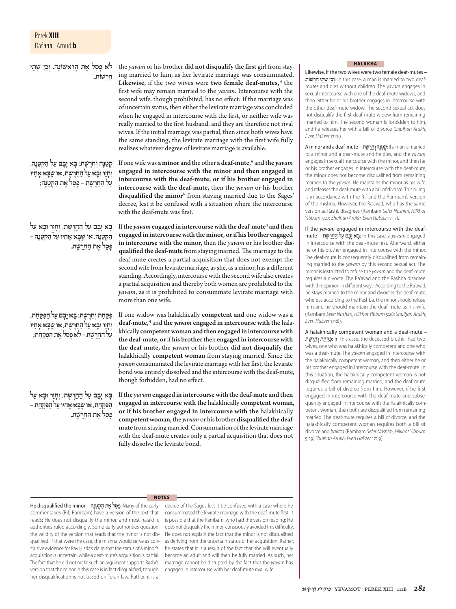# Perek **XIII** Daf **111** Amud **b**

| לֹא פָּםַל אֶת הָרִאשׁוֹנָה. וְכֵן שְׁתֵּי<br>חֵרְשׁוֹת.                                                                                                                       | the yavam or his brother did not disqualify the first girl from stay-<br>ing married to him, as her levirate marriage was consummated.<br>Likewise, if the two wives were two female deaf-mutes, <sup>H</sup> the<br>first wife may remain married to the yavam. Intercourse with the<br>second wife, though prohibited, has no effect: If the marriage was<br>of uncertain status, then either the levirate marriage was concluded<br>when he engaged in intercourse with the first, or neither wife was<br>really married to the first husband, and they are therefore not rival<br>wives. If the initial marriage was partial, then since both wives have<br>the same standing, the levirate marriage with the first wife fully<br>realizes whatever degree of levirate marriage is available. |
|--------------------------------------------------------------------------------------------------------------------------------------------------------------------------------|---------------------------------------------------------------------------------------------------------------------------------------------------------------------------------------------------------------------------------------------------------------------------------------------------------------------------------------------------------------------------------------------------------------------------------------------------------------------------------------------------------------------------------------------------------------------------------------------------------------------------------------------------------------------------------------------------------------------------------------------------------------------------------------------------|
| קִטַנָּה וְחֵרֶשֶׁת: בָּא יָבָם עַל הַקְטַנָּה,<br>וְחָזֵר וּבָא עַל הַחֵרֶשֶׁת, אוֹ שֶׁבָּא אָחִיו<br>עַל הַחֵרֶשֶׁת – פָּסַל אֶת הַקְטַנָּה;                                 | If one wife was a minor and the other a deaf-mute, <sup>H</sup> and the yavam<br>engaged in intercourse with the minor and then engaged in<br>intercourse with the deaf-mute, or if his brother engaged in<br>intercourse with the deaf-mute, then the yavam or his brother<br>disqualified the minor <sup>N</sup> from staying married due to the Sages'<br>decree, lest it be confused with a situation where the intercourse<br>with the deaf-mute was first.                                                                                                                                                                                                                                                                                                                                  |
| בָּא יָבָם עַל הַחֵרֶשֶׁת, וְחָזַר וּבָא עַל<br>הַקְטַנָּה, אוֹ שֶׁבָּא אָחִיוּ עַל הַקְטַנָּה –<br>הַקְטַנָּה, אוֹ שֶׁבָּא אָחִיוּ עַל הַקְטַנָּה –<br>פְּסַל אֶת הַחֵרֶשֶׁת. | If the yavam engaged in intercourse with the deaf-mute <sup>H</sup> and then<br>engaged in intercourse with the minor, or if his brother engaged<br>in intercourse with the minor, then the yavam or his brother dis-<br>qualified the deaf-mute from staying married. The marriage to the<br>deaf-mute creates a partial acquisition that does not exempt the<br>second wife from levirate marriage, as she, as a minor, has a different<br>standing. Accordingly, intercourse with the second wife also creates<br>a partial acquisition and thereby both women are prohibited to the<br>yavam, as it is prohibited to consummate levirate marriage with<br>more than one wife.                                                                                                                 |
| פִּקַחַת וְחֵרֶשֶׁת: בָּא יָבָם עַל הַפִּקַחַת,<br>וְחָזֵר וּבָא עַל הַחֵרֶשֶׁת, אוֹ שֶׁבָּא אָחִיוּ<br>עַל הַחֵרֶשֶׁת – לֹא פָּסַל אֶת הַפִּקַּחַת;                           | If one widow was halakhically competent and one widow was a<br>deaf-mute, <sup>H</sup> and the <i>yavam</i> engaged in intercourse with the hala-<br>khically competent woman and then engaged in intercourse with<br>the deaf-mute, or if his brother then engaged in intercourse with<br>the deaf-mute, the yavam or his brother did not disqualify the<br>halakhically competent woman from staying married. Since the<br>yavam consummated the levirate marriage with her first, the levirate<br>bond was entirely dissolved and the intercourse with the deaf-mute,<br>though forbidden, had no effect.                                                                                                                                                                                      |
| בָּא יָבָם עַל הַחֵרֶשֶׁת, וְחָזַר וּבָא עַל<br>הַפְּקַחַת, אוֹ שֶׁבָּא אָהִיוּ עַל הַפְּקַחַת -<br>פַּסַל אֵת הַחֵרְשֵׁת.                                                     | If the <i>yavam</i> engaged in intercourse with the deaf-mute and then<br>engaged in intercourse with the halakhically competent woman,<br>or if his brother engaged in intercourse with the halakhically<br>competent woman, the yavam or his brother disqualified the deaf-<br>mute from staying married. Consummation of the levirate marriage<br>with the deaf-mute creates only a partial acquisition that does not<br>fully dissolve the levirate bond.                                                                                                                                                                                                                                                                                                                                     |

**HALAKHA**

 Likewise, if the two wives were two female deaf-mutes – **שוֹתׁרְחֵ תיֵּשְ ׁ כןֵוְ**: In this case, a man is married to two deafmutes and dies without children. The *yavam* engages in sexual intercourse with one of the deaf-mute widows, and then either he or his brother engages in intercourse with the other deaf-mute widow. The second sexual act does not disqualify the first deaf-mute widow from remaining married to him. The second woman is forbidden to him, and he releases her with a bill of divorce (*Shulĥan Arukh*, *Even HaEzer* 171:6).

 A minor and a deaf-mute – **שתֶׁרֶחֵוְנהָּטַקְ** : If a man is married to a minor and a deaf-mute and he dies, and the *yavam*  engages in sexual intercourse with the minor, and then he or his brother engages in intercourse with the deaf-mute, the minor does not become disqualified from remaining married to the *yavam*. He maintains the minor as his wife and releases the deaf-mute with a bill of divorce. This ruling is in accordance with the Rif and the Rambam's version of the mishna. However, the Ra'avad, who has the same version as Rashi, disagrees (Rambam *Sefer Nashim*, *Hilkhot Yibbum* 5:27; *Shulĥan Arukh*, *Even HaEzer* 171:7).

 If the *yavam* engaged in intercourse with the deafmute – **שתֶׁרֶחֵהַ עלַ בםָיָבאָּ**: In this case, a *yavam* engaged in intercourse with the deaf-mute first. Afterward, either he or his brother engaged in intercourse with the minor. The deaf-mute is consequently disqualified from remaining married to the *yavam* by this second sexual act. The minor is instructed to refuse the *yavam* and the deaf-mute requires a divorce. The Ra'avad and the Rashba disagree with this opinion in different ways: According to the Ra'avad, he stays married to the minor and divorces the deaf-mute, whereas according to the Rashba, the minor should refuse him and he should maintain the deaf-mute as his wife (Rambam *Sefer Nashim*, *Hilkhot Yibbum* 5:28; *Shulĥan Arukh*, *Even HaEzer* 171:8).

 A halakhically competent woman and a deaf-mute – **שתֶׁרֶחֵוְ חתַקַּפִּ** : In this case, the deceased brother had two wives, one who was halakhically competent and one who was a deaf-mute. The *yavam* engaged in intercourse with the halakhically competent woman, and then either he or his brother engaged in intercourse with the deaf-mute. In this situation, the halakhically competent woman is not disqualified from remaining married, and the deaf-mute requires a bill of divorce from him. However, if he first engaged in intercourse with the deaf-mute and subsequently engaged in intercourse with the halakhically competent woman, then both are disqualified from remaining married. The deaf-mute requires a bill of divorce, and the halakhically competent woman requires both a bill of divorce and *ĥalitza* (Rambam *Sefer Nashim*, *Hilkhot Yibbum* 5:29; *Shulĥan Arukh*, *Even HaEzer* 171:9).

## **NOTES**

 He disqualified the minor – **נהָּטַקְּ הַ אתֶ סלַפָּ** : Many of the early commentaries (Rif; Rambam) have a version of the text that reads: He does not disqualify the minor, and most halakhic authorities ruled accordingly. Some early authorities question the validity of the version that reads that the minor is not disqualified. If that were the case, the mishna would serve as conclusive evidence for Rav Ĥisda's claim that the status of a minor's acquisition is uncertain, while a deaf-mute's acquisition is partial. The fact that he did not make such an argument supports Rashi's version that the minor in this case is in fact disqualified, though her disqualification is not based on Torah law. Rather, it is a

decree of the Sages lest it be confused with a case where he consummated the levirate marriage with the deaf-mute first. It is possible that the Rambam, who had the version reading: He does not disqualify the minor, consciously avoided this difficulty. He does not explain the fact that the minor is not disqualified as deriving from the uncertain status of her acquisition. Rather, he states that it is a result of the fact that she will eventually become an adult and will then be fully married. As such, her marriage cannot be disrupted by the fact that the *yavam* has engaged in intercourse with her deaf-mute rival wife.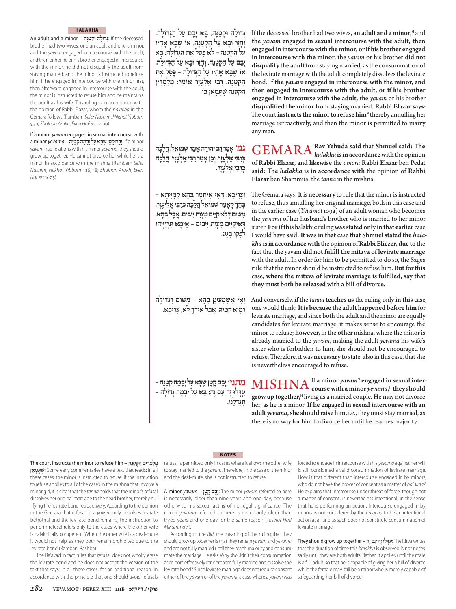| <b>HALAKHA</b>                                                                                                                                                                                                                                                                                                                                                                                                                                                                                                                                                                                                                                                                                                                                                    |                                                                                                                                                                                                                                                                                                                                                                                                                                                                                                                                                                                                                           |                                                                                                                                                                                                                                                                                                                                                                                                                                                                                                                                                                                                                                                                                                                                                                                                                                                                               |
|-------------------------------------------------------------------------------------------------------------------------------------------------------------------------------------------------------------------------------------------------------------------------------------------------------------------------------------------------------------------------------------------------------------------------------------------------------------------------------------------------------------------------------------------------------------------------------------------------------------------------------------------------------------------------------------------------------------------------------------------------------------------|---------------------------------------------------------------------------------------------------------------------------------------------------------------------------------------------------------------------------------------------------------------------------------------------------------------------------------------------------------------------------------------------------------------------------------------------------------------------------------------------------------------------------------------------------------------------------------------------------------------------------|-------------------------------------------------------------------------------------------------------------------------------------------------------------------------------------------------------------------------------------------------------------------------------------------------------------------------------------------------------------------------------------------------------------------------------------------------------------------------------------------------------------------------------------------------------------------------------------------------------------------------------------------------------------------------------------------------------------------------------------------------------------------------------------------------------------------------------------------------------------------------------|
| An adult and a minor – יִגְדוֹלָה וּקְטַנָּה: If the deceased<br>brother had two wives, one an adult and one a minor,<br>and the yavam engaged in intercourse with the adult,<br>and then either he or his brother engaged in intercourse<br>with the minor, he did not disqualify the adult from<br>staying married, and the minor is instructed to refuse<br>him. If he engaged in intercourse with the minor first,<br>then afterward engaged in intercourse with the adult,<br>the minor is instructed to refuse him and he maintains<br>the adult as his wife. This ruling is in accordance with<br>the opinion of Rabbi Elazar, whom the halakha in the<br>Gemara follows (Rambam Sefer Nashim, Hilkhot Yibbum<br>5:30; Shulhan Arukh, Even HaEzer 171:10). | גְּדוֹלָה וּקְטַנָּה, בָּא יָבָם עַל הַגְּדוֹלֵה,<br>וְחַזֵּר וּבָא עַל הַקְטַנָּה, אוֹ שֶׁבָּא אָחִיו<br>עַל הַקְטַנָּה – לֹא פָּסַל אֵת הַגְּדוֹלָה; בָּא<br>יָבָם עַל הַקְטַנָּה, וְחָזֵר וּבָא עַל הַגְּדוֹלַה,<br>אוֹ שֵׁבָּא אָחִיו עַל הַגְּדוֹלָה - פַּסַל אֵת<br>הַקִּטְנָהּ. רַבִּי אֵלְעָזֵר אוֹמֵר: מְלַמְּדִין<br>הַקְטַנָּה שֶׁתְּמָאֵן בּוֹ.                                                                                                                                                                                                                                                               | If the deceased brother had two wives, an adult and a minor, <sup>H</sup> and<br>the yavam engaged in sexual intercourse with the adult, then<br>engaged in intercourse with the minor, or if his brother engaged<br>in intercourse with the minor, the yavam or his brother did not<br>disqualify the adult from staying married, as the consummation of<br>the levirate marriage with the adult completely dissolves the levirate<br>bond. If the yavam engaged in intercourse with the minor, and<br>then engaged in intercourse with the adult, or if his brother<br>engaged in intercourse with the adult, the yavam or his brother<br>disqualified the minor from staying married. Rabbi Elazar says:<br>The court instructs the minor to refuse him <sup>N</sup> thereby annulling her<br>marriage retroactively, and then the minor is permitted to marry<br>any man. |
| If a minor yavam engaged in sexual intercourse with<br>a minor <b>yevama – יִבָם קַטָן שֶׁבָּא עַל יְבָמָה קִטַנָּה</b> : If a minor<br>yavam had relations with his minor yevama, they should<br>grow up together. He cannot divorce her while he is a<br>minor, in accordance with the mishna (Rambam Sefer<br>Nashim, Hilkhot Yibbum 1:16, 18; Shulhan Arukh, Even<br>HaEzer 167:5).                                                                                                                                                                                                                                                                                                                                                                           | גמ' אָמַר רַב יְהוּדָה אַמַר שְׁמוּאֵל: הַלַבָה<br>כִּרַבִּי אֵלְעָזֵר. וְכֵן אָמַר רַבִּי אֵלְעָזֵר: הֲלַכָּה<br>כִּרַבִּי אֵלְעַזר.                                                                                                                                                                                                                                                                                                                                                                                                                                                                                     | <b>GEMARA</b> Rav Yehuda said that Shmuel said: The<br>of Rabbi Elazar, and likewise the amora Rabbi Elazar ben Pedat<br>said: The halakha is in accordance with the opinion of Rabbi<br>Elazar ben Shammua, the tanna in the mishna.                                                                                                                                                                                                                                                                                                                                                                                                                                                                                                                                                                                                                                         |
|                                                                                                                                                                                                                                                                                                                                                                                                                                                                                                                                                                                                                                                                                                                                                                   | ּוּצְרִיכָא: דְּאִי אִיתְּמַר בְּהָא קַמָּיִיתָא -<br>בְּהַךָ קָאָמַר שְׁמוּאֵל הֲלָבָה כְּרַבִּי אֱלִיעֶוֶר,<br>מְשׁוּם דְּלֹא קְיֵים מְצְוַת יִיבּוּם. אֲבָל בְּהָא,<br>דְאִיקַיַּים מְצְוַת יִיבּוּם - אֵימָא תַּרְוַיִיהוּ<br>לִפְקוּ בְּגֵט.                                                                                                                                                                                                                                                                                                                                                                         | The Gemara says: It is necessary to rule that the minor is instructed<br>to refuse, thus annulling her original marriage, both in this case and<br>in the earlier case (Yevamot 109a) of an adult woman who becomes<br>the yevama of her husband's brother who is married to her minor<br>sister. For if this halakhic ruling was stated only in that earlier case,<br>I would have said: It was in that case that Shmuel stated the hala-<br>kha is in accordance with the opinion of Rabbi Eliezer, due to the<br>fact that the yavam did not fulfill the mitzva of levirate marriage<br>with the adult. In order for him to be permitted to do so, the Sages<br>rule that the minor should be instructed to refuse him. But for this<br>case, where the mitzva of levirate marriage is fulfilled, say that<br>they must both be released with a bill of divorce.           |
| אַשְׁמְעִינַן בְּהָא - מְשׁוּם דְּגְדוֹלַה<br>ַרַמְיָא קַמֵּיהּ, אֲבָל אִידַךָ לָא, צִרִיכַא.                                                                                                                                                                                                                                                                                                                                                                                                                                                                                                                                                                                                                                                                     | And conversely, if the tanna teaches us the ruling only in this case,<br>one would think: It is because the adult happened before him for<br>levirate marriage, and since both the adult and the minor are equally<br>candidates for levirate marriage, it makes sense to encourage the<br>minor to refuse; however, in the other mishna, where the minor is<br>already married to the yavam, making the adult yevama his wife's<br>sister who is forbidden to him, she should not be encouraged to<br>refuse. Therefore, it was necessary to state, also in this case, that she<br>is nevertheless encouraged to refuse. |                                                                                                                                                                                                                                                                                                                                                                                                                                                                                                                                                                                                                                                                                                                                                                                                                                                                               |
|                                                                                                                                                                                                                                                                                                                                                                                                                                                                                                                                                                                                                                                                                                                                                                   | <b>מתני׳ יָבָם קַטָן שֶבָּא עַל יְבָמָה קְטַנֶּה −</b><br>אִדְלוּ זֶה עִם זֶה; בָּא עַל יְבָמֶה גְּדוֹלָה −                                                                                                                                                                                                                                                                                                                                                                                                                                                                                                               | $\rm MA$ If a minor yavam <sup>N</sup> engaged in sexual inter-<br>course with a minor yevama, <sup>H</sup> they should<br><b>MISHI</b><br>grow up together, <sup>N</sup> living as a married couple. He may not divorce                                                                                                                                                                                                                                                                                                                                                                                                                                                                                                                                                                                                                                                      |

**A מלמדים הקטנה** – The court instructs the minor to refuse him **אןֵמָתְּשֶׁ** : Some early commentaries have a text that reads: In all these cases, the minor is instructed to refuse. If the instruction to refuse applies to all of the cases in the mishna that involve a minor girl, it is clear that the *tanna* holds that the minor's refusal dissolves her original marriage to the dead brother, thereby nullifying the levirate bond retroactively. According to the opinion in the Gemara that refusal to a *yavam* only dissolves levirate betrothal and the levirate bond remains, the instruction to perform refusal refers only to the cases where the other wife is halakhically competent. When the other wife is a deaf-mute, it would not help, as they both remain prohibited due to the levirate bond (Ramban; Rashba).

The Ra'avad in fact rules that refusal does not wholly erase the levirate bond and he does not accept the version of the text that says: In all these cases, for an additional reason. In accordance with the principle that one should avoid refusals,

### **NOTES**

refusal is permitted only in cases where it allows the other wife to stay married to the *yavam*. Therefore, in the case of the minor and the deaf-mute, she is not instructed to refuse.

**ְּתַגְ ּדֶלּנּו.** 

 A minor *yavam* – **טןָקָ בםָיָ**: The minor *yavam* referred to here is necessarily older than nine years and one day, because otherwise his sexual act is of no legal significance. The minor *yevama* referred to here is necessarily older than three years and one day for the same reason (*Tosefot Ĥad MiKamma'ei*).

According to the *Rid*, the meaning of the ruling that they should grow up together is that they remain *yavam* and *yevama* and are not fully married until they reach majority and consummate the marriage. He asks: Why shouldn't their consummation as minors effectively render them fully married and dissolve the levirate bond? Since levirate marriage does not require consent either of the *yavam* or of the *yevama,* a case where a *yavam* was

forced to engage in intercourse with his *yevama* against her will is still considered a valid consummation of levirate marriage. How is that different than intercourse engaged in by minors, who do not have the power of consent as a matter of *halakha*? He explains that intercourse under threat of force, though not a matter of consent, is nevertheless intentional, in the sense that he is performing an action. Intercourse engaged in by minors is not considered by the *halakha* to be an intentional action at all and as such does not constitute consummation of levirate marriage.

her, as he is a minor. **If he engaged in sexual intercourse with an adult** *yevama***, she should raise him,** i.e., they must stay married, as there is no way for him to divorce her until he reaches majority.

> They should grow up together – **זהֶעםִ זהֶלוּ דּ ְגְיִ**: The Ritva writes that the duration of time this *halakha* is observed is not necessarily until they are both adults. Rather, it applies until the male is a full adult, so that he is capable of giving her a bill of divorce, while the female may still be a minor who is merely capable of safeguarding her bill of divorce.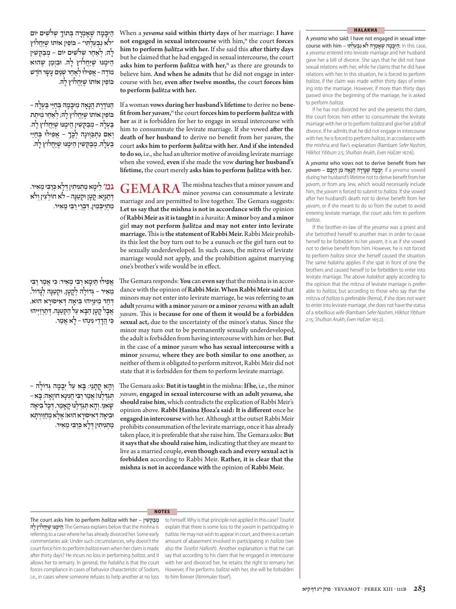**ַהְיָבָמה ֶׁשָא ְמָרה ְּב ְתוֹך ׁ ְשלֹ ׁ ִשים יוֹם ״לֹא ִנ ְבַעְל ִּתי״ – ּכ ִוֹפין אוֹתוֹ ֶׁשַיֲּחלוֹץ ָל ּה; ְלַאַחר ׁ ְשלֹ ׁ ִשים יוֹם – ְמַב ְּק ׁ ִשין ֵה ֶימּנּו ֶׁשַיֲּחלוֹץ ָל ּה. ּו ִבְזַמן ֶׁש ּהוא ֶמוֹדה – ֲא ִפ ּילּו ְלַאַחר ׁ ְשֵנים ָעָׂשר חֶֹד ׁש ּכ ִוֹפין אוֹתוֹ ֶׁשַיֲּחלוֹץ ָל ּה.**

**ַהּנֶוֹדֶרת ֲהָנָאה ִמ ָיבָמ ּה ְּבַחֵיּי ַּב ְעָל ּה – ּכ ִוֹפין אוֹתוֹ ֶׁשַיֲּחלוֹץ ָל ּה; ְלַאַחר ִמ ַיתת ַּב ְעָל ּה – ְמַב ְּקׁ ִשין ֵה ֶימּנּו ֶׁשַיֲּחלוֹץ ָל ּה. ּכְּו ָונה ְלָכ ְך – ֲא ִפ ּיל ּו ְּבַחֵיּי ְו ִאם ִנ ְתַ ַב ְעָל ּה, ְמַב ְּקׁ ִשין ֵה ֶימּנּו ֶׁשַיֲּחלוֹץ ָל ּה.**

**ּכַרִּבי ֵמ ִאיר. גמ׳ ֵל ָימא ַמ ְתִנ ִיתין ְ ּדָלא ְ ְ ּדַתְנָיא: ָקָטן ּו ְקַטָּנה – לֹא ְחוֹל ִצין ְולֹא ִמ ְתַי ְּיב ִמין, ִ ּד ְבֵריַרִּבי ֵמ ִאיר.** 

**ּכי ֲאַמרַרִּבי ֲא ִפ ּילּו ֵּת ָימאַרִּבי ֵמ ִאיר: ִ ֵמ ִאיר – ְּג ָדוֹלה ְלָקָטן, ּו ְקַטָּנה ְלָגדוֹל, ְ ּדַחד ִמ ַּינְי ּ יהו ִּב ָיאה ְ ּד ִא ּיסּוָרא ּהוא, ֲאָבל ָקָטן ַהָּבא ַעל ַה ְּקַטָּנה, ְ ּדַתְרַוְי ּ יהו ּכיֲהָדֵדי ִנ ְינ ּהו – ָלא ֲאַמר. ִ**

**ְוָהא ָקָתֵני: ָּבא ַעל ְיָבָמה ְּג ָדוֹלה – ְּתַגְ ּדֶלּנּו! ֲאַמרַרִּביֲחִנָינא ָחוֹזָאה: ָּבא – ָׁש ֵאני. ְוָהא ְּתַגְ ּדֶלּנּוָקָאַמר, ְ ּדָכל ִּב ָיאה ּוִב ָיאה ְ ּד ִא ּיסּוָרא ּהוא! ֶאָּלא ְמַחַּו ְורָּתא ּכַרִּבי ֵמ ִאיר. ַמ ְתִנ ִיתין ְ ּדָלא ְ**

When a *yevama* **said within thirty days** of her marriage: **I have**  not engaged in sexual intercourse with him,<sup>H</sup> the court forces **him to perform** *ĥalitza* **with her.** If she said this **aft er thirty days**  but he claimed that he had engaged in sexual intercourse, the court asks him to perform *halitza* with her,<sup>N</sup> as there are grounds to believe him. **And when he admits** that he did not engage in intercourse with her, even after twelve months, the court forces him **to perform** *ĥalitza* **with her.** 

If a woman **vows during her husband's lifetime** to derive no **benefi t from her** *yavam***,** <sup>H</sup>the court **forces him to perform** *ĥalitza* **with her** as it is forbidden for her to engage in sexual intercourse with him to consummate the levirate marriage. If she vowed after the **death of her husband** to derive no benefit from her *yavam*, the court **asks him to perform** *ĥalitza* **with her. And if she intended to do so,** i.e., she had an ulterior motive of avoiding levirate marriage when she vowed, **even** if she made the vow **during her husband's lifetime,** the court merely **asks him to perform** *ĥalitza* **with her.**

GEMARA<sup>The mishna teaches that a minor *yavam* and GEMARA<sup>The mishna teaches that a minor *yavam* and</sup></sup> marriage and are permitted to live together. The Gemara suggests: **Let us say that the mishna is not in accordance with** the opinion of**Rabbi Meir as it is taught** in a *baraita*: **A minor** boy **and a minor**  girl **may not perform** *ĥalitza* **and may not enter into levirate**  marriage. This is the statement of Rabbi Meir. Rabbi Meir prohibits this lest the boy turn out to be a eunuch or the girl turn out to be sexually underdeveloped. In such cases, the mitzva of levirate marriage would not apply, and the prohibition against marrying one's brother's wife would be in effect.

The Gemara responds: You can even say that the mishna is in accordance with the opinion of**Rabbi Meir. When Rabbi Meir said** that minors may not enter into levirate marriage, he was referring to **an adult** *yevama***with a minor** *yavam* **or a minor** *yevama***with an adult**  *yavam*. This is because for one of them it would be a forbidden **sexual act,** due to the uncertainty of the minor's status. Since the minor may turn out to be permanently sexually underdeveloped, the adult is forbidden from having intercourse with him or her. **But**  in the case of **a minor** *yavam* **who has sexual intercourse with a minor** *yevama*, **where they are both similar to one another,** as neither of them is obligated to perform mitzvot, Rabbi Meir did not state that it is forbidden for them to perform levirate marriage.

The Gemara asks: But it is taught in the mishna: If he, i.e., the minor *yavam*, **engaged in sexual intercourse with an adult** *yevama***, she should raise him,** which contradicts the explication of Rabbi Meir's opinion above. **Rabbi Ĥanina Ĥoza'a said: It is diff erent** once he **engaged in intercourse** with her. Although at the outset Rabbi Meir prohibits consummation of the levirate marriage, once it has already taken place, it is preferable that she raise him. The Gemara asks: But **it says that she should raise him,** indicating that they are meant to live as a married couple, **even though each and every sexual act is forbidden** according to Rabbi Meir. **Rather, it is clear that the mishna is not in accordance with** the opinion of **Rabbi Meir.**

### **NOTES**

 The court asks him to perform *ĥalitza* with her – **שיןִ ׁקְּ בַמְ** is mishna the that below explains Gemara The **ֵ**:**ה ֶימּנּו ֶׁשַיֲּחלוֹץ ָל ּה** referring to a case where he has already divorced her. Some early commentaries ask: Under such circumstances, why doesn't the court force him to perform *ĥalitza* even when her claim is made after thirty days? He incurs no loss in performing *ĥalitza*, and it allows her to remarry. In general, the *halakha* is that the court forces compliance in cases of behavior characteristic of Sodom, i.e., in cases where someone refuses to help another at no loss to himself. Why is that principle not applied in this case? *Tosafot* explain that there is some loss to the *yavam* in participating in *ĥalitza.* He may not wish to appear in court, and there is a certain amount of abasement involved in participating in *ĥalitza* (see also the *Tosefot HaRosh*). Another explanation is that he can say that according to his claim that he engaged in intercourse with her and divorced her, he retains the right to remarry her. However, if he performs *ĥalitza* with her, she will be forbidden to him forever (*Nimmukei Yosef* ).

#### **HALAKHA**

 A *yevama* who said: I have not engaged in sexual intercourse with him – **תיִּ לְעַבְנִ אֹל רהָמְ אָשֶׁ מהָבָיְהַ**: In this case, a *yevama* entered into levirate marriage and her husband gave her a bill of divorce. She says that he did not have sexual relations with her, while he claims that he did have relations with her. In this situation, he is forced to perform *ĥalitza*, if the claim was made within thirty days of entering into the marriage. However, if more than thirty days passed since the beginning of the marriage, he is asked to perform *ĥalitza*.

If he has not divorced her and she presents this claim, the court forces him either to consummate the levirate marriage with her or to perform *ĥalitza* and give her a bill of divorce. If he admits that he did not engage in intercourse with her, he is forced to perform *ĥalitza*, in accordance with the mishna and Rav's explanation (Rambam *Sefer Nashim*, *Hilkhot Yibbum* 2:5; *Shulĥan Arukh*, *Even HaEzer* 167:6).

 A *yevama* who vows not to derive benefit from her vowed *yevama* a If **ְ**:**יָבָמה ֶׁשָּנְדָרה ֲהָנָאה ִמן ַהָיָּבם** – *yavam* during her husband's lifetime not to derive benefit from her *yavam*, or from any Jew, which would necessarily include him, the *yavam* is forced to submit to *ĥalitza*. If she vowed after her husband's death not to derive benefit from her *yavam*, or if she meant to do so from the outset to avoid entering levirate marriage, the court asks him to perform *ĥalitza*.

If the brother-in-law of the *yevama* was a priest and she betrothed herself to another man in order to cause herself to be forbidden to her *yavam*, it is as if she vowed not to derive benefit from him. However, he is not forced to perform *ĥalitza* since she herself caused the situation. The same *halakha* applies if she spat in front of one the brothers and caused herself to be forbidden to enter into levirate marriage. The above *halakhot* apply according to the opinion that the mitzva of levirate marriage is preferable to *ĥalitza*, but according to those who say that the mitzva of *ĥalitza* is preferable (Rema), if she does not want to enter into levirate marriage, she does not have the status of a rebellious wife (Rambam *Sefer Nashim*, *Hilkhot Yibbum* 2:15; *Shulĥan Arukh*, *Even HaEzer* 165:2).